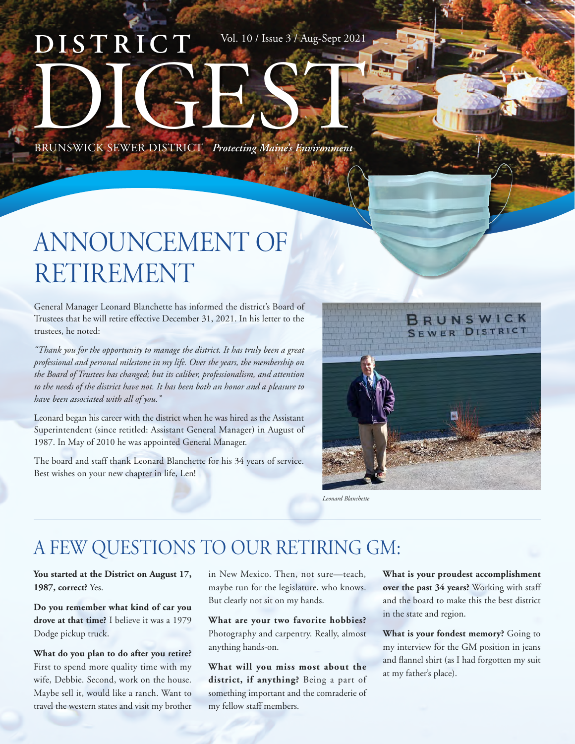# **DISTRICT** BRUNSWICK SEWER DISTRICT *Protecting Maine's Environment* Vol. 10 / Issue 3 / Aug-Sept 2021

# ANNOUNCEMENT OF RETIREMENT

General Manager Leonard Blanchette has informed the district's Board of Trustees that he will retire effective December 31, 2021. In his letter to the trustees, he noted:

*"Thank you for the opportunity to manage the district. It has truly been a great professional and personal milestone in my life. Over the years, the membership on the Board of Trustees has changed; but its caliber, professionalism, and attention to the needs of the district have not. It has been both an honor and a pleasure to have been associated with all of you."*

Leonard began his career with the district when he was hired as the Assistant Superintendent (since retitled: Assistant General Manager) in August of 1987. In May of 2010 he was appointed General Manager.

The board and staff thank Leonard Blanchette for his 34 years of service. Best wishes on your new chapter in life, Len!



*Leonard Blanchette*

## A FEW QUESTIONS TO OUR RETIRING GM:

**You started at the District on August 17, 1987, correct?** Yes.

**Do you remember what kind of car you drove at that time?** I believe it was a 1979 Dodge pickup truck.

**What do you plan to do after you retire?** First to spend more quality time with my wife, Debbie. Second, work on the house. Maybe sell it, would like a ranch. Want to travel the western states and visit my brother

in New Mexico. Then, not sure—teach, maybe run for the legislature, who knows. But clearly not sit on my hands.

**What are your two favorite hobbies?**  Photography and carpentry. Really, almost anything hands-on.

**What will you miss most about the district, if anything?** Being a part of something important and the comraderie of my fellow staff members.

**What is your proudest accomplishment over the past 34 years?** Working with staff and the board to make this the best district in the state and region.

**What is your fondest memory?** Going to my interview for the GM position in jeans and flannel shirt (as I had forgotten my suit at my father's place).